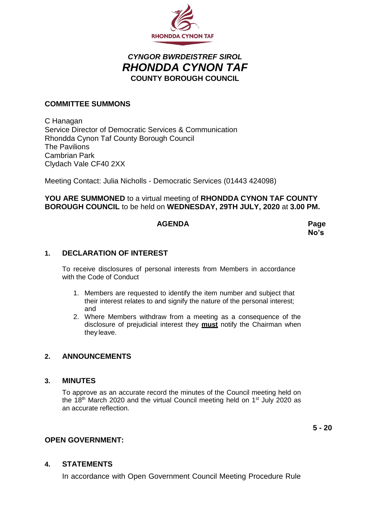

# *CYNGOR BWRDEISTREF SIROL RHONDDA CYNON TAF* **COUNTY BOROUGH COUNCIL**

# **COMMITTEE SUMMONS**

C Hanagan Service Director of Democratic Services & Communication Rhondda Cynon Taf County Borough Council The Pavilions Cambrian Park Clydach Vale CF40 2XX

Meeting Contact: Julia Nicholls - Democratic Services (01443 424098)

**YOU ARE SUMMONED** to a virtual meeting of **RHONDDA CYNON TAF COUNTY BOROUGH COUNCIL** to be held on **WEDNESDAY, 29TH JULY, 2020** at **3.00 PM.**

## **AGENDA Page**

**No's**

## **1. DECLARATION OF INTEREST**

To receive disclosures of personal interests from Members in accordance with the Code of Conduct

- 1. Members are requested to identify the item number and subject that their interest relates to and signify the nature of the personal interest; and
- 2. Where Members withdraw from a meeting as a consequence of the disclosure of prejudicial interest they **must** notify the Chairman when they leave.

## **2. ANNOUNCEMENTS**

#### **3. MINUTES**

To approve as an accurate record the minutes of the Council meeting held on the  $18<sup>th</sup>$  March 2020 and the virtual Council meeting held on  $1<sup>st</sup>$  July 2020 as an accurate reflection.

**5 - 20**

## **OPEN GOVERNMENT:**

#### **4. STATEMENTS**

In accordance with Open Government Council Meeting Procedure Rule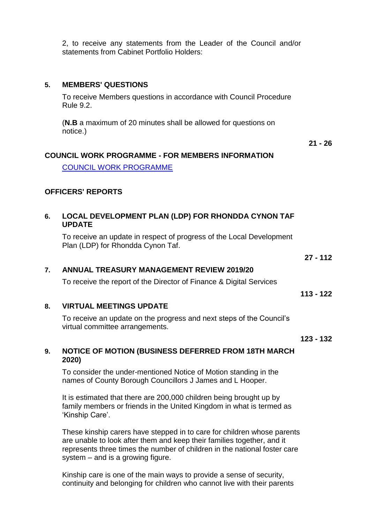2, to receive any statements from the Leader of the Council and/or statements from Cabinet Portfolio Holders:

## **5. MEMBERS' QUESTIONS**

To receive Members questions in accordance with Council Procedure Rule 9.2.

(**N.B** a maximum of 20 minutes shall be allowed for questions on notice.)

#### **COUNCIL WORK PROGRAMME - FOR MEMBERS INFORMATION**

[COUNCIL WORK PROGRAMME](https://www.rctcbc.gov.uk/EN/Council/CouncillorsCommitteesandMeetings/RelatedDocuments/workprgrammes/CouncilWorkProgramme201920.pdf)

#### **OFFICERS' REPORTS**

#### **6. LOCAL DEVELOPMENT PLAN (LDP) FOR RHONDDA CYNON TAF UPDATE**

To receive an update in respect of progress of the Local Development Plan (LDP) for Rhondda Cynon Taf.

**27 - 112**

#### **7. ANNUAL TREASURY MANAGEMENT REVIEW 2019/20**

To receive the report of the Director of Finance & Digital Services

#### **8. VIRTUAL MEETINGS UPDATE**

To receive an update on the progress and next steps of the Council's virtual committee arrangements.

**123 - 132**

**113 - 122**

#### **9. NOTICE OF MOTION (BUSINESS DEFERRED FROM 18TH MARCH 2020)**

To consider the under-mentioned Notice of Motion standing in the names of County Borough Councillors J James and L Hooper.

It is estimated that there are 200,000 children being brought up by family members or friends in the United Kingdom in what is termed as 'Kinship Care'.

These kinship carers have stepped in to care for children whose parents are unable to look after them and keep their families together, and it represents three times the number of children in the national foster care system – and is a growing figure.

Kinship care is one of the main ways to provide a sense of security, continuity and belonging for children who cannot live with their parents **21 - 26**